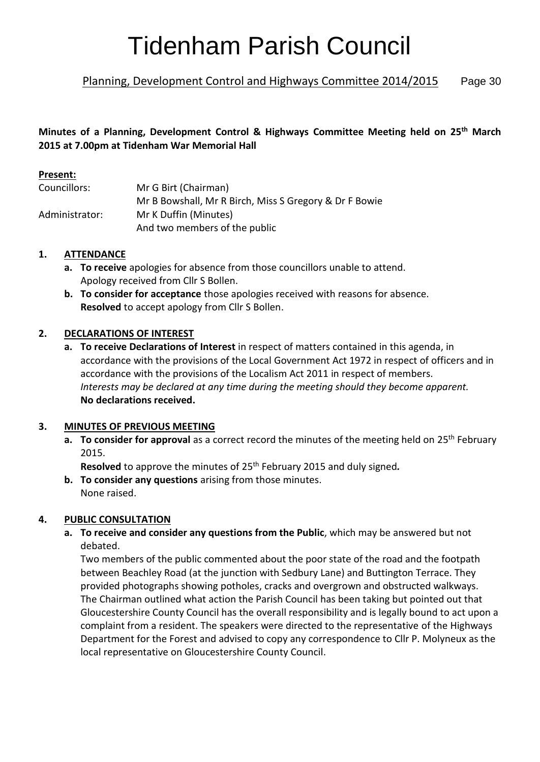# Tidenham Parish Council

## Planning, Development Control and Highways Committee 2014/2015 Page 30

## **Minutes of a Planning, Development Control & Highways Committee Meeting held on 25th March 2015 at 7.00pm at Tidenham War Memorial Hall**

#### **Present:**

| Councillors:   | Mr G Birt (Chairman)                                   |
|----------------|--------------------------------------------------------|
|                | Mr B Bowshall, Mr R Birch, Miss S Gregory & Dr F Bowie |
| Administrator: | Mr K Duffin (Minutes)                                  |
|                | And two members of the public                          |

## **1. ATTENDANCE**

- **a. To receive** apologies for absence from those councillors unable to attend. Apology received from Cllr S Bollen.
- **b. To consider for acceptance** those apologies received with reasons for absence. **Resolved** to accept apology from Cllr S Bollen.

## **2. DECLARATIONS OF INTEREST**

**a. To receive Declarations of Interest** in respect of matters contained in this agenda, in accordance with the provisions of the Local Government Act 1972 in respect of officers and in accordance with the provisions of the Localism Act 2011 in respect of members. *Interests may be declared at any time during the meeting should they become apparent.* **No declarations received.**

## **3. MINUTES OF PREVIOUS MEETING**

**a. To consider for approval** as a correct record the minutes of the meeting held on 25<sup>th</sup> February 2015.

Resolved to approve the minutes of 25<sup>th</sup> February 2015 and duly signed.

**b. To consider any questions** arising from those minutes. None raised.

## **4. PUBLIC CONSULTATION**

**a. To receive and consider any questions from the Public**, which may be answered but not debated.

Two members of the public commented about the poor state of the road and the footpath between Beachley Road (at the junction with Sedbury Lane) and Buttington Terrace. They provided photographs showing potholes, cracks and overgrown and obstructed walkways. The Chairman outlined what action the Parish Council has been taking but pointed out that Gloucestershire County Council has the overall responsibility and is legally bound to act upon a complaint from a resident. The speakers were directed to the representative of the Highways Department for the Forest and advised to copy any correspondence to Cllr P. Molyneux as the local representative on Gloucestershire County Council.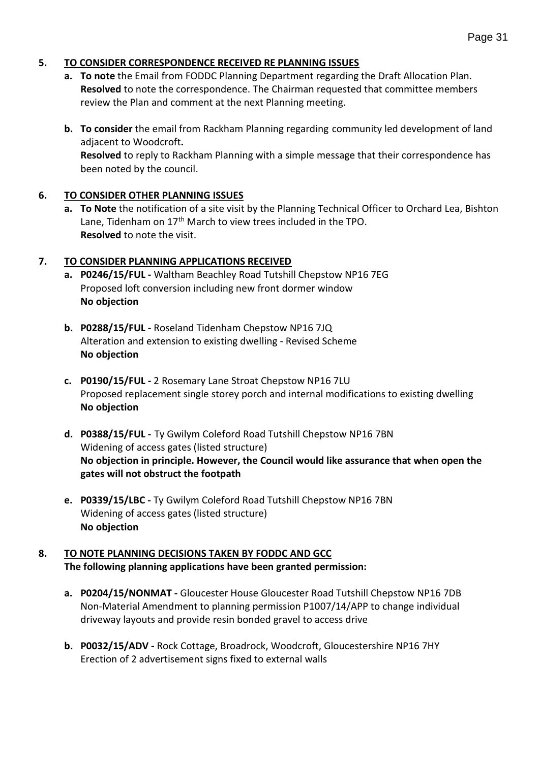#### **5. TO CONSIDER CORRESPONDENCE RECEIVED RE PLANNING ISSUES**

- **a. To note** the Email from FODDC Planning Department regarding the Draft Allocation Plan. **Resolved** to note the correspondence. The Chairman requested that committee members review the Plan and comment at the next Planning meeting.
- **b. To consider** the email from Rackham Planning regarding community led development of land adjacent to Woodcroft**. Resolved** to reply to Rackham Planning with a simple message that their correspondence has been noted by the council.

## **6. TO CONSIDER OTHER PLANNING ISSUES**

**a. To Note** the notification of a site visit by the Planning Technical Officer to Orchard Lea, Bishton Lane, Tidenham on  $17<sup>th</sup>$  March to view trees included in the TPO. **Resolved** to note the visit.

## **7. TO CONSIDER PLANNING APPLICATIONS RECEIVED**

- **a. P0246/15/FUL -** Waltham Beachley Road Tutshill Chepstow NP16 7EG Proposed loft conversion including new front dormer window **No objection**
- **b. P0288/15/FUL -** Roseland Tidenham Chepstow NP16 7JQ Alteration and extension to existing dwelling - Revised Scheme **No objection**
- **c. P0190/15/FUL -** 2 Rosemary Lane Stroat Chepstow NP16 7LU Proposed replacement single storey porch and internal modifications to existing dwelling **No objection**
- **d. P0388/15/FUL -** Ty Gwilym Coleford Road Tutshill Chepstow NP16 7BN Widening of access gates (listed structure) **No objection in principle. However, the Council would like assurance that when open the gates will not obstruct the footpath**
- **e. P0339/15/LBC -** Ty Gwilym Coleford Road Tutshill Chepstow NP16 7BN Widening of access gates (listed structure) **No objection**

#### **8. TO NOTE PLANNING DECISIONS TAKEN BY FODDC AND GCC The following planning applications have been granted permission:**

- **a. P0204/15/NONMAT -** Gloucester House Gloucester Road Tutshill Chepstow NP16 7DB Non-Material Amendment to planning permission P1007/14/APP to change individual driveway layouts and provide resin bonded gravel to access drive
- **b. P0032/15/ADV -** Rock Cottage, Broadrock, Woodcroft, Gloucestershire NP16 7HY Erection of 2 advertisement signs fixed to external walls